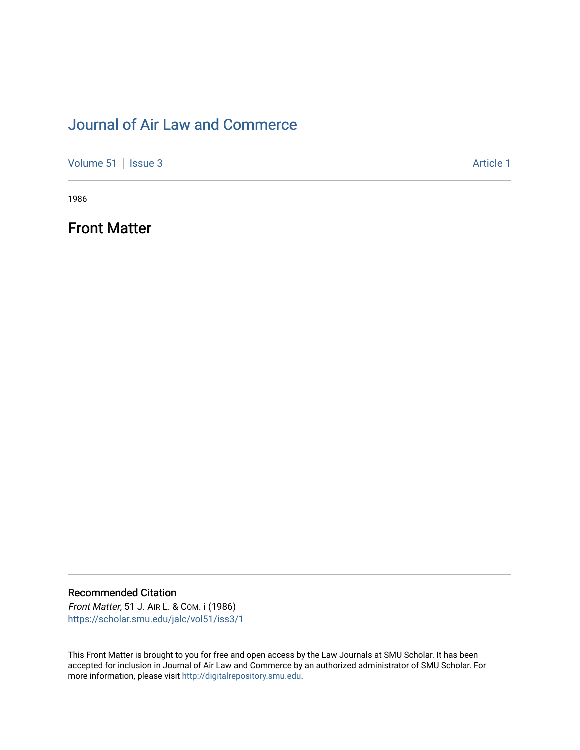## [Journal of Air Law and Commerce](https://scholar.smu.edu/jalc)

[Volume 51](https://scholar.smu.edu/jalc/vol51) | [Issue 3](https://scholar.smu.edu/jalc/vol51/iss3) Article 1

1986

Front Matter

Recommended Citation Front Matter, 51 J. AIR L. & COM. i (1986)

[https://scholar.smu.edu/jalc/vol51/iss3/1](https://scholar.smu.edu/jalc/vol51/iss3/1?utm_source=scholar.smu.edu%2Fjalc%2Fvol51%2Fiss3%2F1&utm_medium=PDF&utm_campaign=PDFCoverPages) 

This Front Matter is brought to you for free and open access by the Law Journals at SMU Scholar. It has been accepted for inclusion in Journal of Air Law and Commerce by an authorized administrator of SMU Scholar. For more information, please visit [http://digitalrepository.smu.edu](http://digitalrepository.smu.edu/).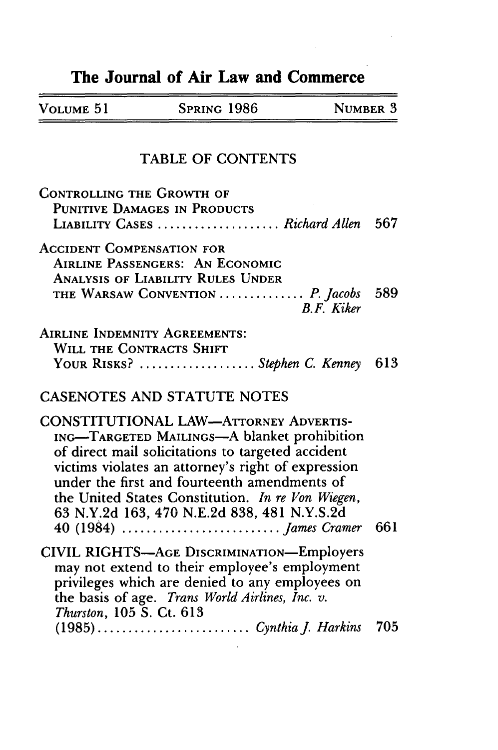## The Journal of Air Law and Commerce

 $\equiv$ 

| NUMBER 3<br>SPRING 1986<br>VOLUME 51 |
|--------------------------------------|
|--------------------------------------|

## TABLE OF **CONTENTS**

| CONTROLLING THE GROWTH OF<br>PUNITIVE DAMAGES IN PRODUCTS                                                                                                                                                                                                                                                                                                  |       |
|------------------------------------------------------------------------------------------------------------------------------------------------------------------------------------------------------------------------------------------------------------------------------------------------------------------------------------------------------------|-------|
| LIABILITY CASES  Richard Allen 567                                                                                                                                                                                                                                                                                                                         |       |
| <b>ACCIDENT COMPENSATION FOR</b><br><b>AIRLINE PASSENGERS: AN ECONOMIC</b><br><b>ANALYSIS OF LIABILITY RULES UNDER</b><br>THE WARSAW CONVENTION  P. Jacobs<br><b>B.F.</b> Kiker                                                                                                                                                                            | - 589 |
| <b>AIRLINE INDEMNITY AGREEMENTS:</b>                                                                                                                                                                                                                                                                                                                       |       |
| <b>WILL THE CONTRACTS SHIFT</b><br>YOUR RISKS? Stephen C. Kenney                                                                                                                                                                                                                                                                                           | 613   |
| <b>CASENOTES AND STATUTE NOTES</b>                                                                                                                                                                                                                                                                                                                         |       |
| <b>CONSTITUTIONAL LAW-ATTORNEY ADVERTIS-</b><br>ING-TARGETED MAILINGS-A blanket prohibition<br>of direct mail solicitations to targeted accident<br>victims violates an attorney's right of expression<br>under the first and fourteenth amendments of<br>the United States Constitution. In re Von Wiegen,<br>63 N.Y.2d 163, 470 N.E.2d 838, 481 N.Y.S.2d |       |
| CIVIL RIGHTS-AGE DISCRIMINATION-Employers<br>may not extend to their employee's employment<br>privileges which are denied to any employees on<br>the basis of age. Trans World Airlines, Inc. v.<br>Thurston, 105 S. Ct. 613                                                                                                                               |       |
|                                                                                                                                                                                                                                                                                                                                                            |       |